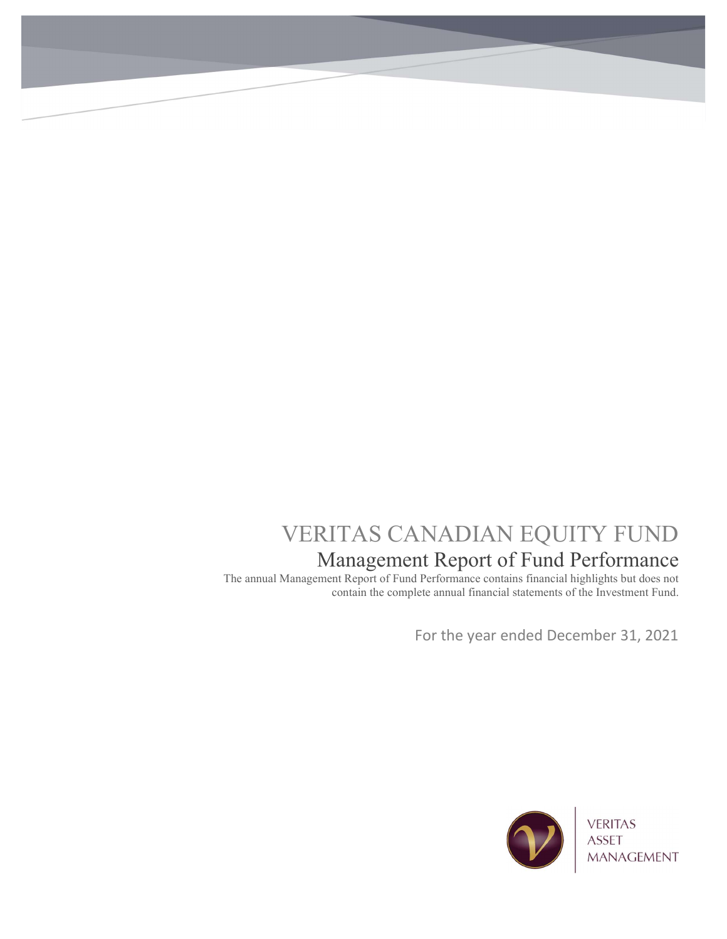# VERITAS CANADIAN EQUITY FUND Management Report of Fund Performance

The annual Management Report of Fund Performance contains financial highlights but does not contain the complete annual financial statements of the Investment Fund.

For the year ended December 31, 2021

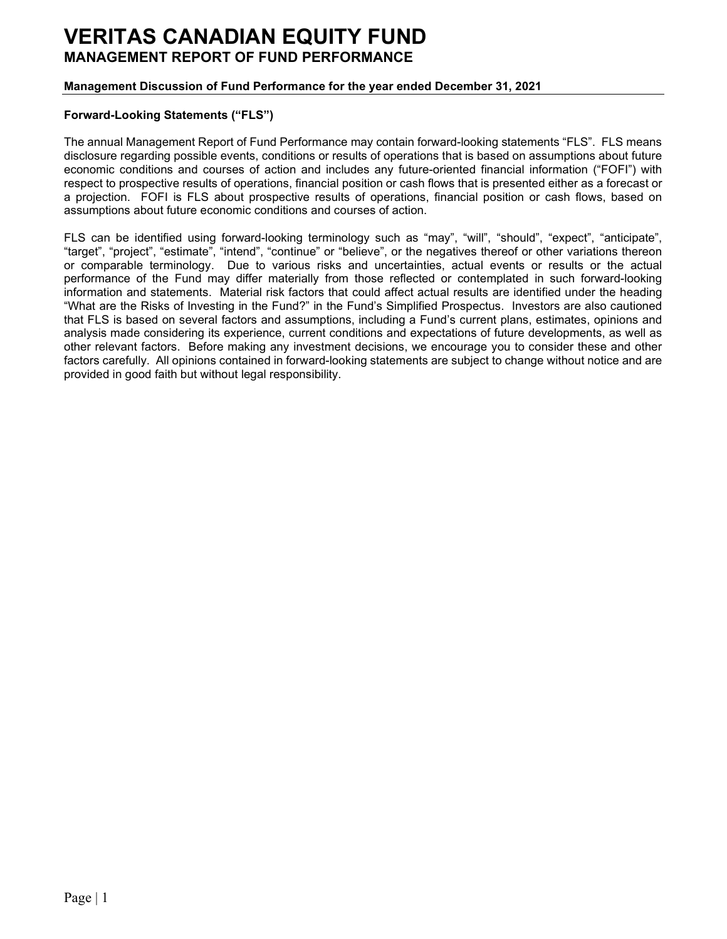## Management Discussion of Fund Performance for the year ended December 31, 2021

### Forward-Looking Statements ("FLS")

The annual Management Report of Fund Performance may contain forward-looking statements "FLS". FLS means disclosure regarding possible events, conditions or results of operations that is based on assumptions about future economic conditions and courses of action and includes any future-oriented financial information ("FOFI") with respect to prospective results of operations, financial position or cash flows that is presented either as a forecast or a projection. FOFI is FLS about prospective results of operations, financial position or cash flows, based on assumptions about future economic conditions and courses of action.

FLS can be identified using forward-looking terminology such as "may", "will", "should", "expect", "anticipate", "target", "project", "estimate", "intend", "continue" or "believe", or the negatives thereof or other variations thereon or comparable terminology. Due to various risks and uncertainties, actual events or results or the actual performance of the Fund may differ materially from those reflected or contemplated in such forward-looking information and statements. Material risk factors that could affect actual results are identified under the heading "What are the Risks of Investing in the Fund?" in the Fund's Simplified Prospectus. Investors are also cautioned that FLS is based on several factors and assumptions, including a Fund's current plans, estimates, opinions and analysis made considering its experience, current conditions and expectations of future developments, as well as other relevant factors. Before making any investment decisions, we encourage you to consider these and other factors carefully. All opinions contained in forward-looking statements are subject to change without notice and are provided in good faith but without legal responsibility.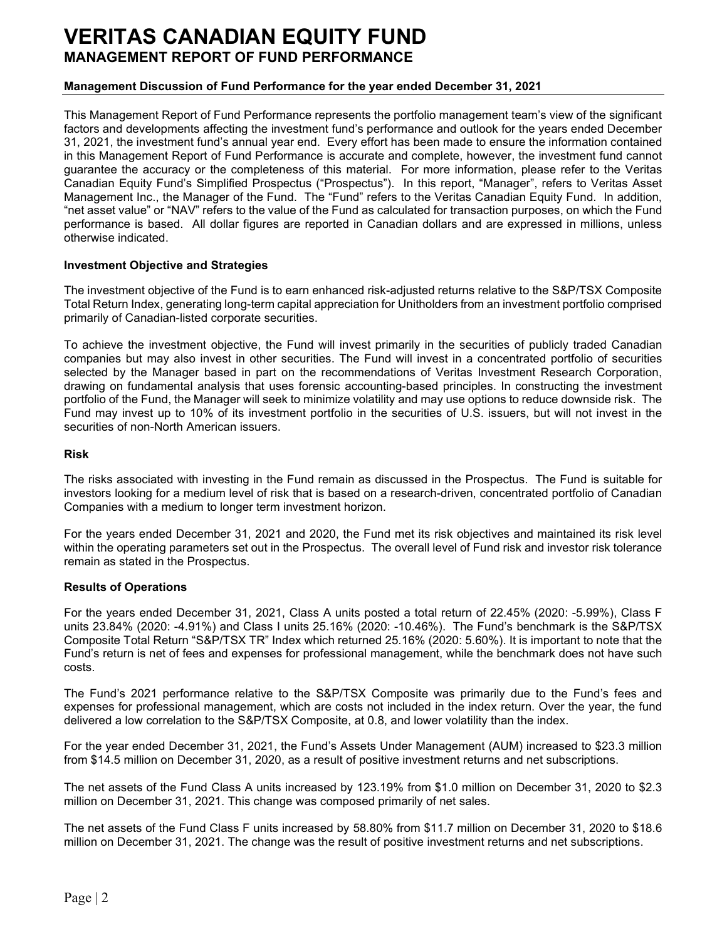### Management Discussion of Fund Performance for the year ended December 31, 2021

This Management Report of Fund Performance represents the portfolio management team's view of the significant factors and developments affecting the investment fund's performance and outlook for the years ended December 31, 2021, the investment fund's annual year end. Every effort has been made to ensure the information contained in this Management Report of Fund Performance is accurate and complete, however, the investment fund cannot guarantee the accuracy or the completeness of this material. For more information, please refer to the Veritas Canadian Equity Fund's Simplified Prospectus ("Prospectus"). In this report, "Manager", refers to Veritas Asset Management Inc., the Manager of the Fund. The "Fund" refers to the Veritas Canadian Equity Fund. In addition, "net asset value" or "NAV" refers to the value of the Fund as calculated for transaction purposes, on which the Fund performance is based. All dollar figures are reported in Canadian dollars and are expressed in millions, unless otherwise indicated.

#### Investment Objective and Strategies

The investment objective of the Fund is to earn enhanced risk-adjusted returns relative to the S&P/TSX Composite Total Return Index, generating long-term capital appreciation for Unitholders from an investment portfolio comprised primarily of Canadian-listed corporate securities.

To achieve the investment objective, the Fund will invest primarily in the securities of publicly traded Canadian companies but may also invest in other securities. The Fund will invest in a concentrated portfolio of securities selected by the Manager based in part on the recommendations of Veritas Investment Research Corporation, drawing on fundamental analysis that uses forensic accounting-based principles. In constructing the investment portfolio of the Fund, the Manager will seek to minimize volatility and may use options to reduce downside risk. The Fund may invest up to 10% of its investment portfolio in the securities of U.S. issuers, but will not invest in the securities of non-North American issuers.

#### Risk

The risks associated with investing in the Fund remain as discussed in the Prospectus. The Fund is suitable for investors looking for a medium level of risk that is based on a research-driven, concentrated portfolio of Canadian Companies with a medium to longer term investment horizon.

For the years ended December 31, 2021 and 2020, the Fund met its risk objectives and maintained its risk level within the operating parameters set out in the Prospectus. The overall level of Fund risk and investor risk tolerance remain as stated in the Prospectus.

#### Results of Operations

For the years ended December 31, 2021, Class A units posted a total return of 22.45% (2020: -5.99%), Class F units 23.84% (2020: -4.91%) and Class I units 25.16% (2020: -10.46%). The Fund's benchmark is the S&P/TSX Composite Total Return "S&P/TSX TR" Index which returned 25.16% (2020: 5.60%). It is important to note that the Fund's return is net of fees and expenses for professional management, while the benchmark does not have such costs.

The Fund's 2021 performance relative to the S&P/TSX Composite was primarily due to the Fund's fees and expenses for professional management, which are costs not included in the index return. Over the year, the fund delivered a low correlation to the S&P/TSX Composite, at 0.8, and lower volatility than the index.

For the year ended December 31, 2021, the Fund's Assets Under Management (AUM) increased to \$23.3 million from \$14.5 million on December 31, 2020, as a result of positive investment returns and net subscriptions.

The net assets of the Fund Class A units increased by 123.19% from \$1.0 million on December 31, 2020 to \$2.3 million on December 31, 2021. This change was composed primarily of net sales.

The net assets of the Fund Class F units increased by 58.80% from \$11.7 million on December 31, 2020 to \$18.6 million on December 31, 2021. The change was the result of positive investment returns and net subscriptions.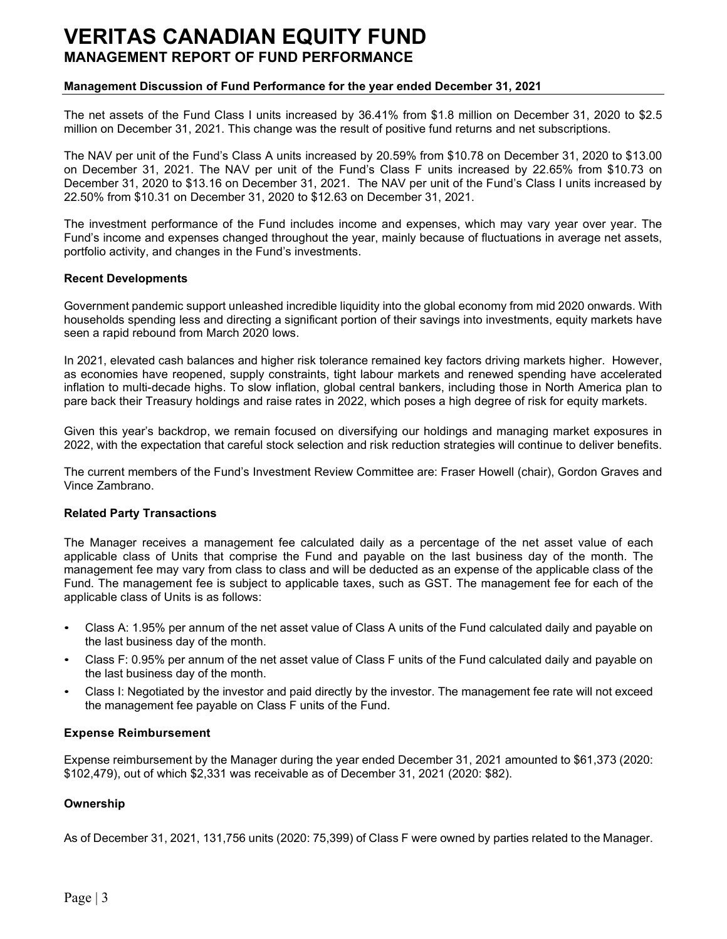#### Management Discussion of Fund Performance for the year ended December 31, 2021

The net assets of the Fund Class I units increased by 36.41% from \$1.8 million on December 31, 2020 to \$2.5 million on December 31, 2021. This change was the result of positive fund returns and net subscriptions.

The NAV per unit of the Fund's Class A units increased by 20.59% from \$10.78 on December 31, 2020 to \$13.00 on December 31, 2021. The NAV per unit of the Fund's Class F units increased by 22.65% from \$10.73 on December 31, 2020 to \$13.16 on December 31, 2021. The NAV per unit of the Fund's Class I units increased by 22.50% from \$10.31 on December 31, 2020 to \$12.63 on December 31, 2021.

The investment performance of the Fund includes income and expenses, which may vary year over year. The Fund's income and expenses changed throughout the year, mainly because of fluctuations in average net assets, portfolio activity, and changes in the Fund's investments.

#### Recent Developments

Government pandemic support unleashed incredible liquidity into the global economy from mid 2020 onwards. With households spending less and directing a significant portion of their savings into investments, equity markets have seen a rapid rebound from March 2020 lows.

In 2021, elevated cash balances and higher risk tolerance remained key factors driving markets higher. However, as economies have reopened, supply constraints, tight labour markets and renewed spending have accelerated inflation to multi-decade highs. To slow inflation, global central bankers, including those in North America plan to pare back their Treasury holdings and raise rates in 2022, which poses a high degree of risk for equity markets.

Given this year's backdrop, we remain focused on diversifying our holdings and managing market exposures in 2022, with the expectation that careful stock selection and risk reduction strategies will continue to deliver benefits.

The current members of the Fund's Investment Review Committee are: Fraser Howell (chair), Gordon Graves and Vince Zambrano.

#### Related Party Transactions

The Manager receives a management fee calculated daily as a percentage of the net asset value of each applicable class of Units that comprise the Fund and payable on the last business day of the month. The management fee may vary from class to class and will be deducted as an expense of the applicable class of the Fund. The management fee is subject to applicable taxes, such as GST. The management fee for each of the applicable class of Units is as follows:

- Class A: 1.95% per annum of the net asset value of Class A units of the Fund calculated daily and payable on the last business day of the month.
- Class F: 0.95% per annum of the net asset value of Class F units of the Fund calculated daily and payable on the last business day of the month.
- Class I: Negotiated by the investor and paid directly by the investor. The management fee rate will not exceed the management fee payable on Class F units of the Fund.

#### Expense Reimbursement

Expense reimbursement by the Manager during the year ended December 31, 2021 amounted to \$61,373 (2020: \$102,479), out of which \$2,331 was receivable as of December 31, 2021 (2020: \$82).

#### **Ownership**

As of December 31, 2021, 131,756 units (2020: 75,399) of Class F were owned by parties related to the Manager.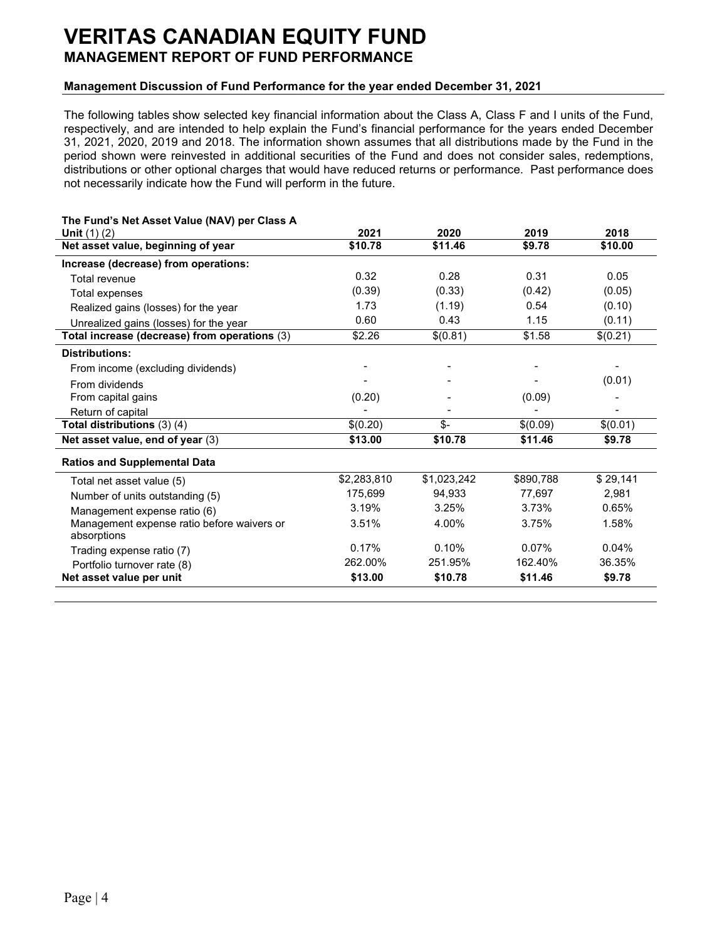### Management Discussion of Fund Performance for the year ended December 31, 2021

The following tables show selected key financial information about the Class A, Class F and I units of the Fund, respectively, and are intended to help explain the Fund's financial performance for the years ended December 31, 2021, 2020, 2019 and 2018. The information shown assumes that all distributions made by the Fund in the period shown were reinvested in additional securities of the Fund and does not consider sales, redemptions, distributions or other optional charges that would have reduced returns or performance. Past performance does not necessarily indicate how the Fund will perform in the future.

| <b>Unit</b> $(1)(2)$                                      | 2021        | 2020        | 2019      | 2018     |
|-----------------------------------------------------------|-------------|-------------|-----------|----------|
| Net asset value, beginning of year                        | \$10.78     | \$11.46     | \$9.78    | \$10.00  |
| Increase (decrease) from operations:                      |             |             |           |          |
| Total revenue                                             | 0.32        | 0.28        | 0.31      | 0.05     |
| Total expenses                                            | (0.39)      | (0.33)      | (0.42)    | (0.05)   |
| Realized gains (losses) for the year                      | 1.73        | (1.19)      | 0.54      | (0.10)   |
| Unrealized gains (losses) for the year                    | 0.60        | 0.43        | 1.15      | (0.11)   |
| Total increase (decrease) from operations (3)             | \$2.26      | \$(0.81)    | \$1.58    | \$(0.21) |
| <b>Distributions:</b>                                     |             |             |           |          |
| From income (excluding dividends)                         |             |             |           |          |
| From dividends                                            |             |             |           | (0.01)   |
| From capital gains                                        | (0.20)      |             | (0.09)    |          |
| Return of capital                                         |             |             |           |          |
| Total distributions (3) (4)                               | \$(0.20)    | \$-         | \$(0.09)  | \$(0.01) |
| Net asset value, end of year (3)                          | \$13.00     | \$10.78     | \$11.46   | \$9.78   |
| <b>Ratios and Supplemental Data</b>                       |             |             |           |          |
| Total net asset value (5)                                 | \$2,283,810 | \$1,023,242 | \$890,788 | \$29,141 |
| Number of units outstanding (5)                           | 175,699     | 94,933      | 77,697    | 2,981    |
| Management expense ratio (6)                              | 3.19%       | 3.25%       | 3.73%     | 0.65%    |
| Management expense ratio before waivers or<br>absorptions | 3.51%       | 4.00%       | 3.75%     | 1.58%    |
| Trading expense ratio (7)                                 | 0.17%       | 0.10%       | 0.07%     | 0.04%    |
| Portfolio turnover rate (8)                               | 262.00%     | 251.95%     | 162.40%   | 36.35%   |
| Net asset value per unit                                  | \$13.00     | \$10.78     | \$11.46   | \$9.78   |

#### The Fund's Net Asset Value (NAV) per Class A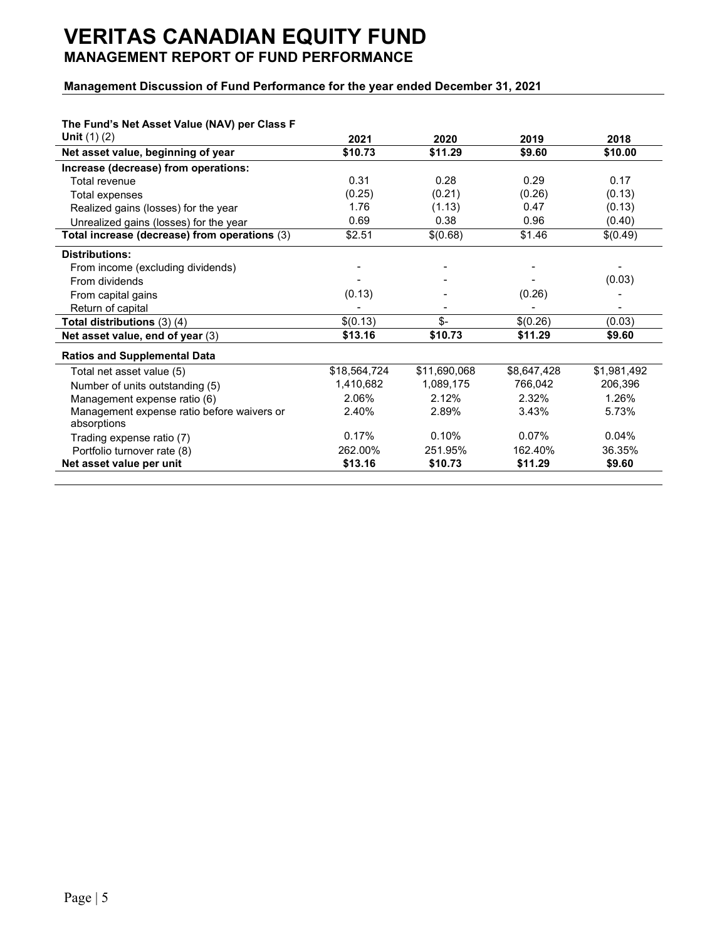## Management Discussion of Fund Performance for the year ended December 31, 2021

| The Fund's Net Asset Value (NAV) per Class F  |              |              |             |             |
|-----------------------------------------------|--------------|--------------|-------------|-------------|
| <b>Unit</b> $(1)(2)$                          | 2021         | 2020         | 2019        | 2018        |
| Net asset value, beginning of year            | \$10.73      | \$11.29      | \$9.60      | \$10.00     |
| Increase (decrease) from operations:          |              |              |             |             |
| Total revenue                                 | 0.31         | 0.28         | 0.29        | 0.17        |
| Total expenses                                | (0.25)       | (0.21)       | (0.26)      | (0.13)      |
| Realized gains (losses) for the year          | 1.76         | (1.13)       | 0.47        | (0.13)      |
| Unrealized gains (losses) for the year        | 0.69         | 0.38         | 0.96        | (0.40)      |
| Total increase (decrease) from operations (3) | \$2.51       | \$(0.68)     | \$1.46      | \$(0.49)    |
| <b>Distributions:</b>                         |              |              |             |             |
| From income (excluding dividends)             |              |              |             |             |
| From dividends                                |              |              |             | (0.03)      |
| From capital gains                            | (0.13)       |              | (0.26)      |             |
| Return of capital                             |              |              |             |             |
| Total distributions $(3)$ $(4)$               | \$(0.13)     | $$-$         | \$(0.26)    | (0.03)      |
| Net asset value, end of year (3)              | \$13.16      | \$10.73      | \$11.29     | \$9.60      |
| <b>Ratios and Supplemental Data</b>           |              |              |             |             |
| Total net asset value (5)                     | \$18,564,724 | \$11,690,068 | \$8,647,428 | \$1,981,492 |
| Number of units outstanding (5)               | 1,410,682    | 1,089,175    | 766,042     | 206,396     |
| Management expense ratio (6)                  | 2.06%        | 2.12%        | 2.32%       | 1.26%       |
| Management expense ratio before waivers or    | 2.40%        | 2.89%        | 3.43%       | 5.73%       |
| absorptions                                   |              |              |             |             |
| Trading expense ratio (7)                     | 0.17%        | 0.10%        | 0.07%       | 0.04%       |
| Portfolio turnover rate (8)                   | 262.00%      | 251.95%      | 162.40%     | 36.35%      |
| Net asset value per unit                      | \$13.16      | \$10.73      | \$11.29     | \$9.60      |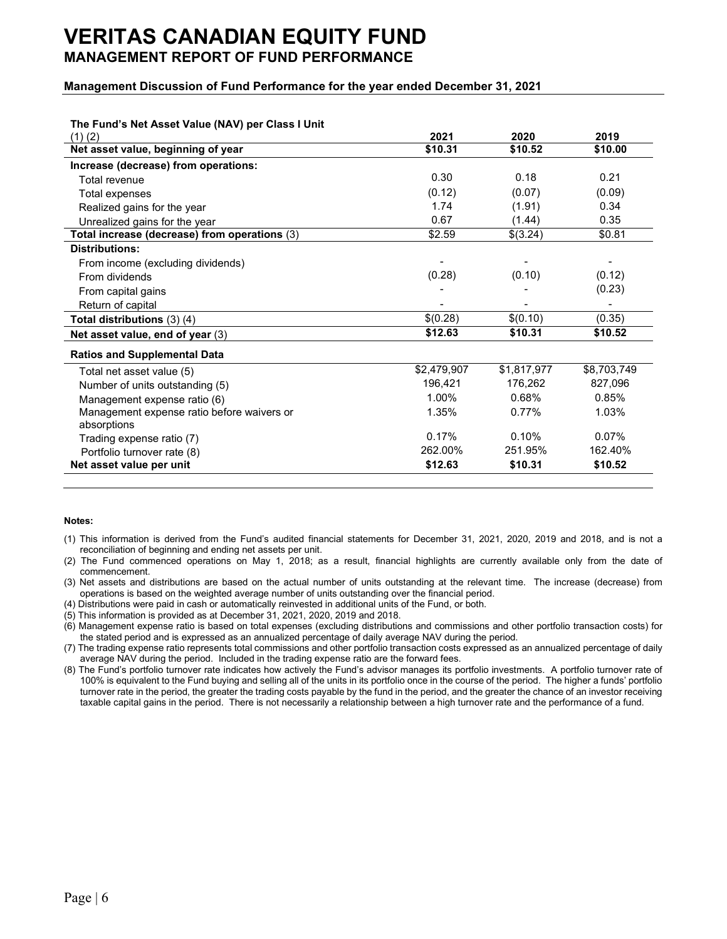### Management Discussion of Fund Performance for the year ended December 31, 2021

| The Fund's Net Asset Value (NAV) per Class I Unit         |             |             |             |
|-----------------------------------------------------------|-------------|-------------|-------------|
| (1)(2)                                                    | 2021        | 2020        | 2019        |
| Net asset value, beginning of year                        | \$10.31     | \$10.52     | \$10.00     |
| Increase (decrease) from operations:                      |             |             |             |
| Total revenue                                             | 0.30        | 0.18        | 0.21        |
| Total expenses                                            | (0.12)      | (0.07)      | (0.09)      |
| Realized gains for the year                               | 1.74        | (1.91)      | 0.34        |
| Unrealized gains for the year                             | 0.67        | (1.44)      | 0.35        |
| Total increase (decrease) from operations (3)             | \$2.59      | \$(3.24)    | \$0.81      |
| <b>Distributions:</b>                                     |             |             |             |
| From income (excluding dividends)                         |             |             |             |
| From dividends                                            | (0.28)      | (0.10)      | (0.12)      |
| From capital gains                                        |             |             | (0.23)      |
| Return of capital                                         |             |             |             |
| Total distributions (3) (4)                               | \$(0.28)    | \$(0.10)    | (0.35)      |
| Net asset value, end of year (3)                          | \$12.63     | \$10.31     | \$10.52     |
| <b>Ratios and Supplemental Data</b>                       |             |             |             |
| Total net asset value (5)                                 | \$2,479,907 | \$1,817,977 | \$8,703,749 |
| Number of units outstanding (5)                           | 196,421     | 176,262     | 827,096     |
| Management expense ratio (6)                              | 1.00%       | 0.68%       | 0.85%       |
| Management expense ratio before waivers or<br>absorptions | 1.35%       | 0.77%       | 1.03%       |
| Trading expense ratio (7)                                 | 0.17%       | 0.10%       | 0.07%       |
| Portfolio turnover rate (8)                               | 262.00%     | 251.95%     | 162.40%     |
| Net asset value per unit                                  | \$12.63     | \$10.31     | \$10.52     |

#### Notes:

- (1) This information is derived from the Fund's audited financial statements for December 31, 2021, 2020, 2019 and 2018, and is not a reconciliation of beginning and ending net assets per unit.
- (2) The Fund commenced operations on May 1, 2018; as a result, financial highlights are currently available only from the date of commencement.
- (3) Net assets and distributions are based on the actual number of units outstanding at the relevant time. The increase (decrease) from operations is based on the weighted average number of units outstanding over the financial period.
- (4) Distributions were paid in cash or automatically reinvested in additional units of the Fund, or both.
- (5) This information is provided as at December 31, 2021, 2020, 2019 and 2018.
- (6) Management expense ratio is based on total expenses (excluding distributions and commissions and other portfolio transaction costs) for the stated period and is expressed as an annualized percentage of daily average NAV during the period.
- (7) The trading expense ratio represents total commissions and other portfolio transaction costs expressed as an annualized percentage of daily average NAV during the period. Included in the trading expense ratio are the forward fees.
- (8) The Fund's portfolio turnover rate indicates how actively the Fund's advisor manages its portfolio investments. A portfolio turnover rate of 100% is equivalent to the Fund buying and selling all of the units in its portfolio once in the course of the period. The higher a funds' portfolio turnover rate in the period, the greater the trading costs payable by the fund in the period, and the greater the chance of an investor receiving taxable capital gains in the period. There is not necessarily a relationship between a high turnover rate and the performance of a fund.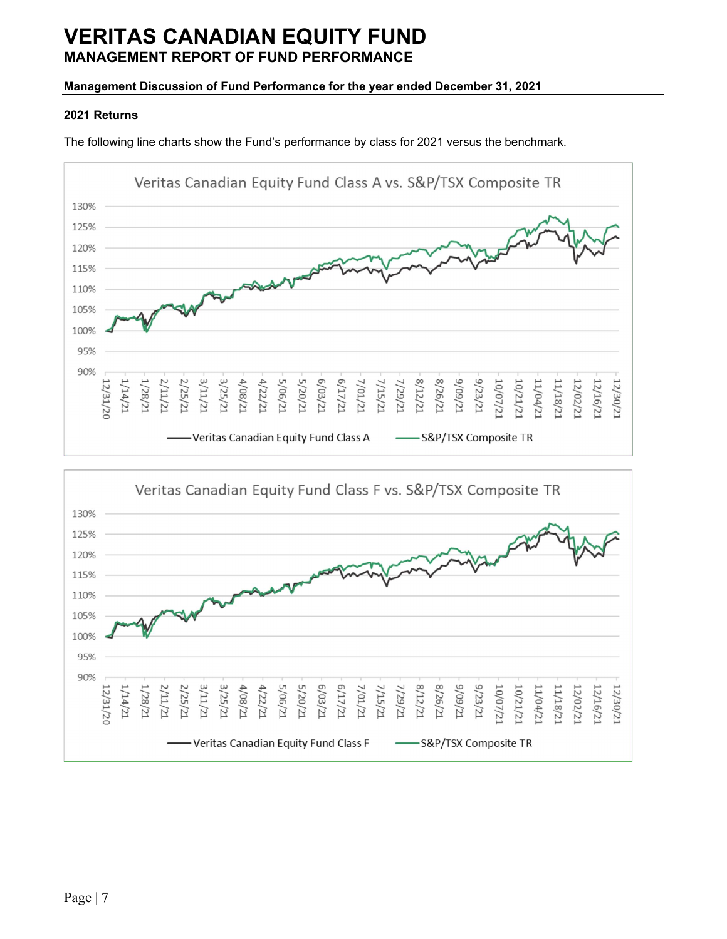# Management Discussion of Fund Performance for the year ended December 31, 2021

### 2021 Returns

The following line charts show the Fund's performance by class for 2021 versus the benchmark.



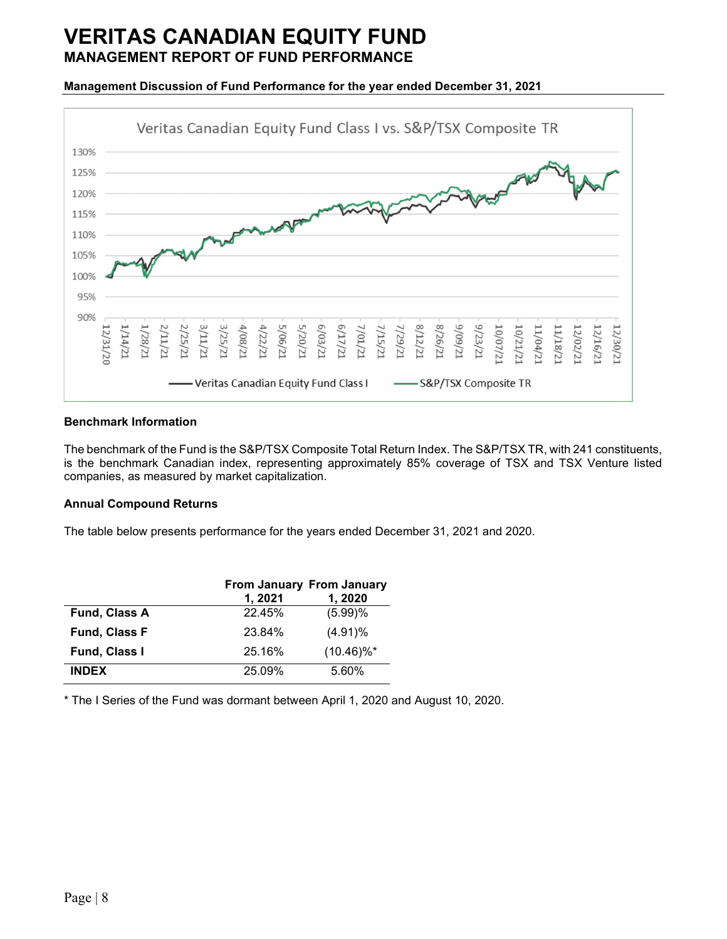### Management Discussion of Fund Performance for the year ended December 31, 2021



#### Benchmark Information

The benchmark of the Fund is the S&P/TSX Composite Total Return Index. The S&P/TSX TR, with 241 constituents, is the benchmark Canadian index, representing approximately 85% coverage of TSX and TSX Venture listed companies, as measured by market capitalization.

### Annual Compound Returns

The table below presents performance for the years ended December 31, 2021 and 2020.

|                      | <b>From January From January</b><br>1, 2021 | 1, 2020                  |
|----------------------|---------------------------------------------|--------------------------|
| Fund, Class A        | 22.45%                                      | (5.99)%                  |
| <b>Fund, Class F</b> | 23.84%                                      | $(4.91)\%$               |
| <b>Fund, Class I</b> | 25.16%                                      | $(10.46)\%$ <sup>*</sup> |
| <b>INDEX</b>         | 25.09%                                      | 5.60%                    |

\* The I Series of the Fund was dormant between April 1, 2020 and August 10, 2020.